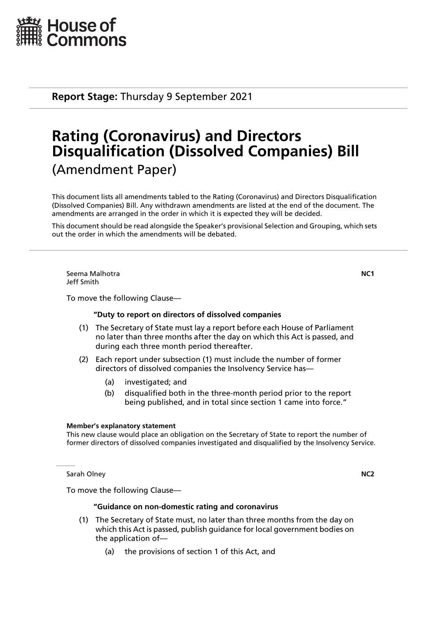

**Report Stage:** Thursday 9 September 2021

# **Rating (Coronavirus) and Directors Disqualification (Dissolved Companies) Bill** (Amendment Paper)

This document lists all amendments tabled to the Rating (Coronavirus) and Directors Disqualification (Dissolved Companies) Bill. Any withdrawn amendments are listed at the end of the document. The amendments are arranged in the order in which it is expected they will be decided.

This document should be read alongside the Speaker's provisional Selection and Grouping, which sets out the order in which the amendments will be debated.

Seema Malhotra **NC1** Jeff Smith

To move the following Clause—

# **"Duty to report on directors of dissolved companies**

- (1) The Secretary of State must lay a report before each House of Parliament no later than three months after the day on which this Act is passed, and during each three month period thereafter.
- (2) Each report under subsection (1) must include the number of former directors of dissolved companies the Insolvency Service has—
	- (a) investigated; and
	- (b) disqualified both in the three-month period prior to the report being published, and in total since section 1 came into force."

#### **Member's explanatory statement**

This new clause would place an obligation on the Secretary of State to report the number of former directors of dissolved companies investigated and disqualified by the Insolvency Service.

Sarah Olney **NC2**

To move the following Clause—

# **"Guidance on non-domestic rating and coronavirus**

- (1) The Secretary of State must, no later than three months from the day on which this Act is passed, publish guidance for local government bodies on the application of—
	- (a) the provisions of section 1 of this Act, and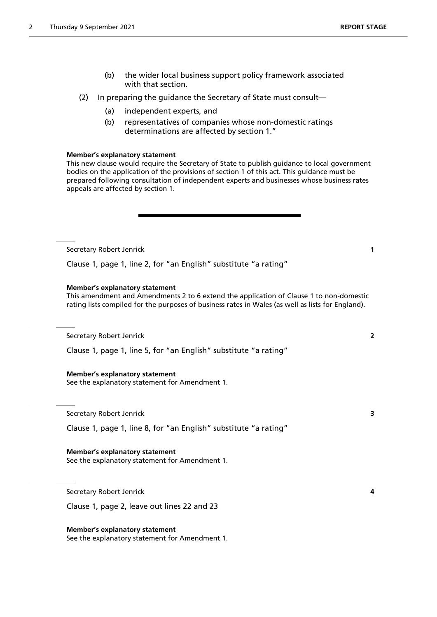- (b) the wider local business support policy framework associated with that section.
- (2) In preparing the guidance the Secretary of State must consult—
	- (a) independent experts, and
	- (b) representatives of companies whose non-domestic ratings determinations are affected by section 1."

#### **Member's explanatory statement**

This new clause would require the Secretary of State to publish guidance to local government bodies on the application of the provisions of section 1 of this act. This guidance must be prepared following consultation of independent experts and businesses whose business rates appeals are affected by section 1.

Secretary Robert Jenrick **1**

Clause 1, page 1, line 2, for "an English" substitute "a rating"

# **Member's explanatory statement**

This amendment and Amendments 2 to 6 extend the application of Clause 1 to non-domestic rating lists compiled for the purposes of business rates in Wales (as well as lists for England).

Secretary Robert Jenrick **2**

Clause 1, page 1, line 5, for "an English" substitute "a rating"

# **Member's explanatory statement**

See the explanatory statement for Amendment 1.

Secretary Robert Jenrick **3**

Clause 1, page 1, line 8, for "an English" substitute "a rating"

**Member's explanatory statement** See the explanatory statement for Amendment 1.

Secretary Robert Jenrick **4**

Clause 1, page 2, leave out lines 22 and 23

**Member's explanatory statement** See the explanatory statement for Amendment 1.